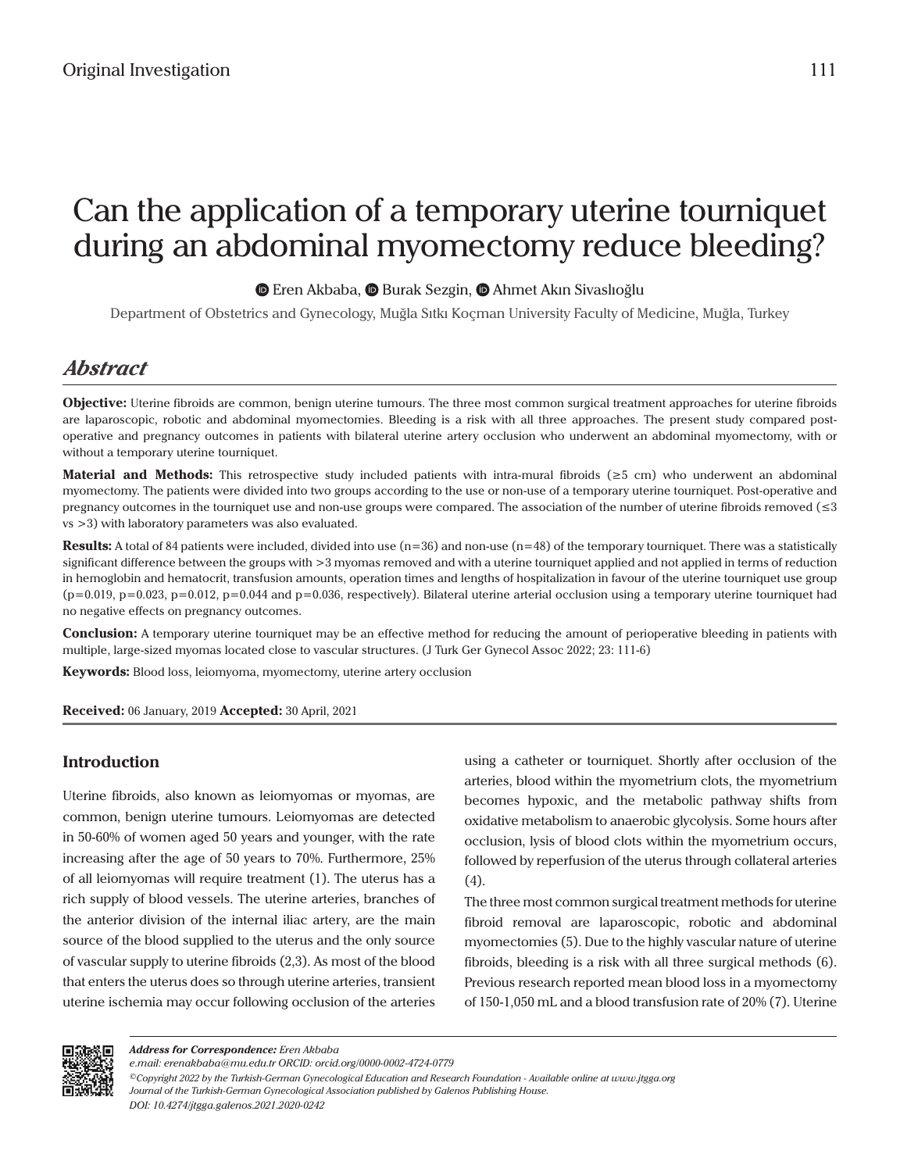# Can the application of a temporary uterine tourniquet during an abdominal myomectomy reduce bleeding?

 $\bullet$ Eren Akbaba,  $\bullet$  Burak Sezgin,  $\bullet$  Ahmet Akın Sivaslıoğlu

Department of Obstetrics and Gynecology, Muğla Sıtkı Koçman University Faculty of Medicine, Muğla, Turkey

# *Abstract*

**Objective:** Uterine fibroids are common, benign uterine tumours. The three most common surgical treatment approaches for uterine fibroids are laparoscopic, robotic and abdominal myomectomies. Bleeding is a risk with all three approaches. The present study compared postoperative and pregnancy outcomes in patients with bilateral uterine artery occlusion who underwent an abdominal myomectomy, with or without a temporary uterine tourniquet.

**Material and Methods:** This retrospective study included patients with intra-mural fibroids (≥5 cm) who underwent an abdominal myomectomy. The patients were divided into two groups according to the use or non-use of a temporary uterine tourniquet. Post-operative and pregnancy outcomes in the tourniquet use and non-use groups were compared. The association of the number of uterine fibroids removed (≤3 vs >3) with laboratory parameters was also evaluated.

**Results:** A total of 84 patients were included, divided into use  $(n=36)$  and non-use  $(n=48)$  of the temporary tourniquet. There was a statistically significant difference between the groups with >3 myomas removed and with a uterine tourniquet applied and not applied in terms of reduction in hemoglobin and hematocrit, transfusion amounts, operation times and lengths of hospitalization in favour of the uterine tourniquet use group  $(p=0.019, p=0.023, p=0.012, p=0.044$  and  $p=0.036$ , respectively). Bilateral uterine arterial occlusion using a temporary uterine tourniquet had no negative effects on pregnancy outcomes.

**Conclusion:** A temporary uterine tourniquet may be an effective method for reducing the amount of perioperative bleeding in patients with multiple, large-sized myomas located close to vascular structures. (J Turk Ger Gynecol Assoc 2022; 23: 111-6)

**Keywords:** Blood loss, leiomyoma, myomectomy, uterine artery occlusion

**Received:** 06 January, 2019 **Accepted:** 30 April, 2021

# **Introduction**

Uterine fibroids, also known as leiomyomas or myomas, are common, benign uterine tumours. Leiomyomas are detected in 50-60% of women aged 50 years and younger, with the rate increasing after the age of 50 years to 70%. Furthermore, 25% of all leiomyomas will require treatment (1). The uterus has a rich supply of blood vessels. The uterine arteries, branches of the anterior division of the internal iliac artery, are the main source of the blood supplied to the uterus and the only source of vascular supply to uterine fibroids (2,3). As most of the blood that enters the uterus does so through uterine arteries, transient uterine ischemia may occur following occlusion of the arteries

using a catheter or tourniquet. Shortly after occlusion of the arteries, blood within the myometrium clots, the myometrium becomes hypoxic, and the metabolic pathway shifts from oxidative metabolism to anaerobic glycolysis. Some hours after occlusion, lysis of blood clots within the myometrium occurs, followed by reperfusion of the uterus through collateral arteries (4).

The three most common surgical treatment methods for uterine fibroid removal are laparoscopic, robotic and abdominal myomectomies (5). Due to the highly vascular nature of uterine fibroids, bleeding is a risk with all three surgical methods (6). Previous research reported mean blood loss in a myomectomy of 150-1,050 mL and a blood transfusion rate of 20% (7). Uterine



*e.mail: erenakbaba@mu.edu.tr ORCID: orcid.org/0000-0002-4724-0779*

*<sup>©</sup>Copyright 2022 by the Turkish-German Gynecological Education and Research Foundation - Available online at www.jtgga.org Journal of the Turkish-German Gynecological Association published by Galenos Publishing House. DOI: 10.4274/jtgga.galenos.2021.2020-0242*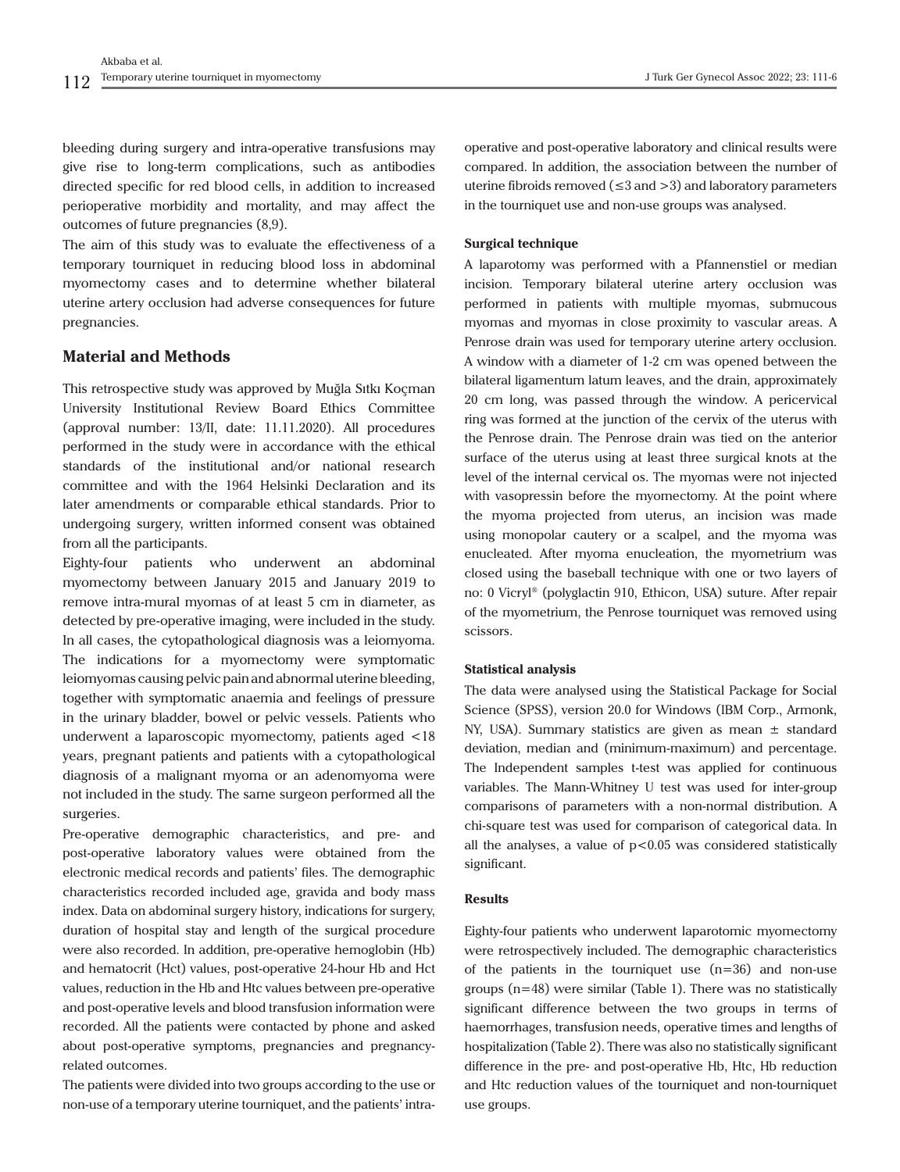bleeding during surgery and intra-operative transfusions may give rise to long-term complications, such as antibodies directed specific for red blood cells, in addition to increased perioperative morbidity and mortality, and may affect the outcomes of future pregnancies (8,9).

The aim of this study was to evaluate the effectiveness of a temporary tourniquet in reducing blood loss in abdominal myomectomy cases and to determine whether bilateral uterine artery occlusion had adverse consequences for future pregnancies.

# **Material and Methods**

This retrospective study was approved by Muğla Sıtkı Koçman University Institutional Review Board Ethics Committee (approval number: 13/II, date: 11.11.2020). All procedures performed in the study were in accordance with the ethical standards of the institutional and/or national research committee and with the 1964 Helsinki Declaration and its later amendments or comparable ethical standards. Prior to undergoing surgery, written informed consent was obtained from all the participants.

Eighty-four patients who underwent an abdominal myomectomy between January 2015 and January 2019 to remove intra-mural myomas of at least 5 cm in diameter, as detected by pre-operative imaging, were included in the study. In all cases, the cytopathological diagnosis was a leiomyoma. The indications for a myomectomy were symptomatic leiomyomas causing pelvic pain and abnormal uterine bleeding, together with symptomatic anaemia and feelings of pressure in the urinary bladder, bowel or pelvic vessels. Patients who underwent a laparoscopic myomectomy, patients aged <18 years, pregnant patients and patients with a cytopathological diagnosis of a malignant myoma or an adenomyoma were not included in the study. The same surgeon performed all the surgeries.

Pre-operative demographic characteristics, and pre- and post-operative laboratory values were obtained from the electronic medical records and patients' files. The demographic characteristics recorded included age, gravida and body mass index. Data on abdominal surgery history, indications for surgery, duration of hospital stay and length of the surgical procedure were also recorded. In addition, pre-operative hemoglobin (Hb) and hematocrit (Hct) values, post-operative 24-hour Hb and Hct values, reduction in the Hb and Htc values between pre-operative and post-operative levels and blood transfusion information were recorded. All the patients were contacted by phone and asked about post-operative symptoms, pregnancies and pregnancyrelated outcomes.

The patients were divided into two groups according to the use or non-use of a temporary uterine tourniquet, and the patients' intraoperative and post-operative laboratory and clinical results were compared. In addition, the association between the number of uterine fibroids removed ( $\leq$ 3 and  $>$ 3) and laboratory parameters in the tourniquet use and non-use groups was analysed.

#### **Surgical technique**

A laparotomy was performed with a Pfannenstiel or median incision. Temporary bilateral uterine artery occlusion was performed in patients with multiple myomas, submucous myomas and myomas in close proximity to vascular areas. A Penrose drain was used for temporary uterine artery occlusion. A window with a diameter of 1-2 cm was opened between the bilateral ligamentum latum leaves, and the drain, approximately 20 cm long, was passed through the window. A pericervical ring was formed at the junction of the cervix of the uterus with the Penrose drain. The Penrose drain was tied on the anterior surface of the uterus using at least three surgical knots at the level of the internal cervical os. The myomas were not injected with vasopressin before the myomectomy. At the point where the myoma projected from uterus, an incision was made using monopolar cautery or a scalpel, and the myoma was enucleated. After myoma enucleation, the myometrium was closed using the baseball technique with one or two layers of no: 0 Vicryl® (polyglactin 910, Ethicon, USA) suture. After repair of the myometrium, the Penrose tourniquet was removed using scissors.

#### **Statistical analysis**

The data were analysed using the Statistical Package for Social Science (SPSS), version 20.0 for Windows (IBM Corp., Armonk, NY, USA). Summary statistics are given as mean  $\pm$  standard deviation, median and (minimum-maximum) and percentage. The Independent samples t-test was applied for continuous variables. The Mann-Whitney U test was used for inter-group comparisons of parameters with a non-normal distribution. A chi-square test was used for comparison of categorical data. In all the analyses, a value of  $p < 0.05$  was considered statistically significant.

#### **Results**

Eighty-four patients who underwent laparotomic myomectomy were retrospectively included. The demographic characteristics of the patients in the tourniquet use  $(n=36)$  and non-use groups (n=48) were similar (Table 1). There was no statistically significant difference between the two groups in terms of haemorrhages, transfusion needs, operative times and lengths of hospitalization (Table 2). There was also no statistically significant difference in the pre- and post-operative Hb, Htc, Hb reduction and Htc reduction values of the tourniquet and non-tourniquet use groups.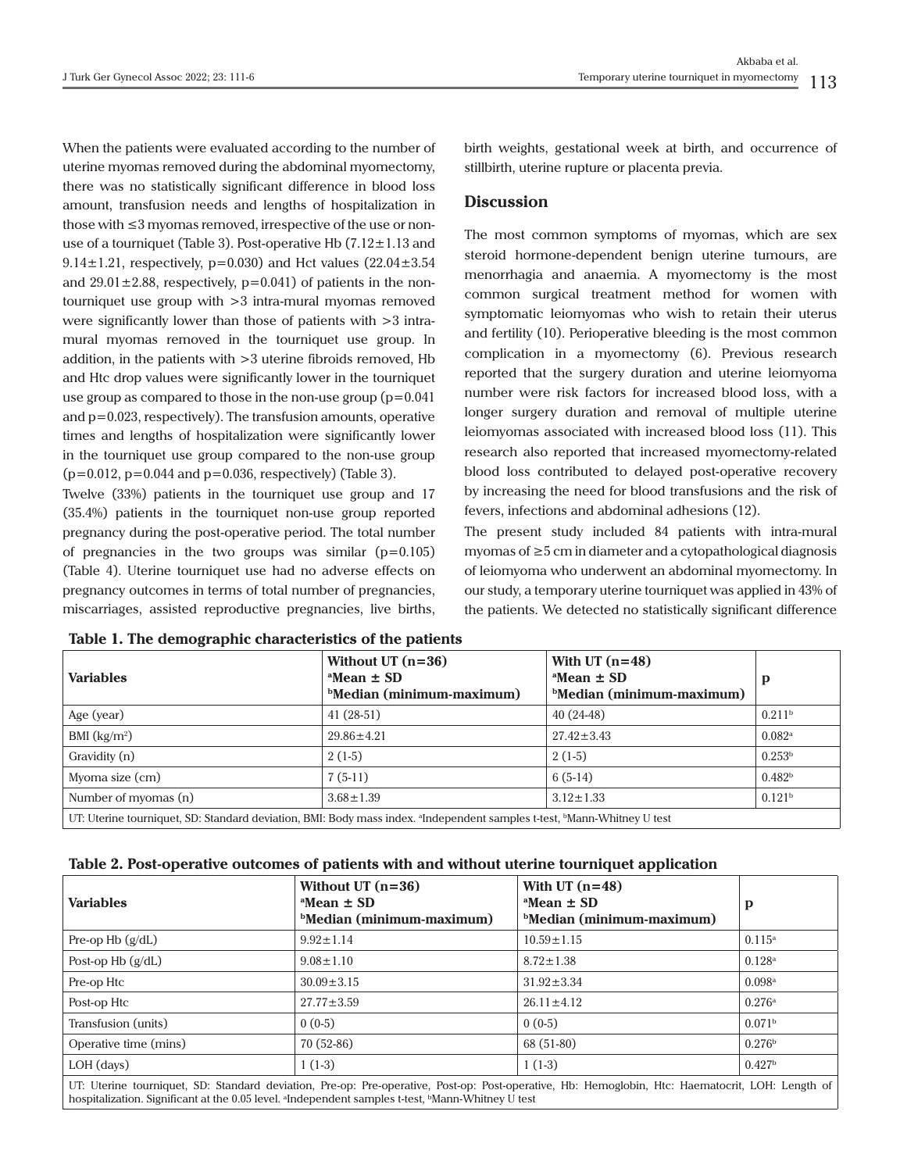When the patients were evaluated according to the number of uterine myomas removed during the abdominal myomectomy, there was no statistically significant difference in blood loss amount, transfusion needs and lengths of hospitalization in those with ≤3 myomas removed, irrespective of the use or nonuse of a tourniquet (Table 3). Post-operative Hb  $(7.12 \pm 1.13$  and 9.14 $\pm$ 1.21, respectively, p=0.030) and Hct values (22.04 $\pm$ 3.54 and  $29.01 \pm 2.88$ , respectively,  $p=0.041$ ) of patients in the nontourniquet use group with  $>3$  intra-mural myomas removed were significantly lower than those of patients with >3 intramural myomas removed in the tourniquet use group. In addition, in the patients with >3 uterine fibroids removed, Hb and Htc drop values were significantly lower in the tourniquet use group as compared to those in the non-use group  $(p=0.041)$ and p=0.023, respectively). The transfusion amounts, operative times and lengths of hospitalization were significantly lower in the tourniquet use group compared to the non-use group  $(p=0.012, p=0.044$  and  $p=0.036$ , respectively) (Table 3).

Twelve (33%) patients in the tourniquet use group and 17 (35.4%) patients in the tourniquet non-use group reported pregnancy during the post-operative period. The total number of pregnancies in the two groups was similar  $(p=0.105)$ (Table 4). Uterine tourniquet use had no adverse effects on pregnancy outcomes in terms of total number of pregnancies, miscarriages, assisted reproductive pregnancies, live births,

birth weights, gestational week at birth, and occurrence of stillbirth, uterine rupture or placenta previa.

## **Discussion**

The most common symptoms of myomas, which are sex steroid hormone-dependent benign uterine tumours, are menorrhagia and anaemia. A myomectomy is the most common surgical treatment method for women with symptomatic leiomyomas who wish to retain their uterus and fertility (10). Perioperative bleeding is the most common complication in a myomectomy (6). Previous research reported that the surgery duration and uterine leiomyoma number were risk factors for increased blood loss, with a longer surgery duration and removal of multiple uterine leiomyomas associated with increased blood loss (11). This research also reported that increased myomectomy-related blood loss contributed to delayed post-operative recovery by increasing the need for blood transfusions and the risk of fevers, infections and abdominal adhesions (12).

The present study included 84 patients with intra-mural myomas of ≥5 cm in diameter and a cytopathological diagnosis of leiomyoma who underwent an abdominal myomectomy. In our study, a temporary uterine tourniquet was applied in 43% of the patients. We detected no statistically significant difference

| <b>Variables</b>                                                                                                                                | Without UT $(n=36)$<br>$^a$ Mean $\pm$ SD<br>$b$ Median (minimum-maximum) | With UT $(n=48)$<br>$^{\circ}$ Mean $\pm$ SD<br>$b$ Median (minimum-maximum) | p                    |  |  |
|-------------------------------------------------------------------------------------------------------------------------------------------------|---------------------------------------------------------------------------|------------------------------------------------------------------------------|----------------------|--|--|
| Age (year)                                                                                                                                      | $41(28-51)$                                                               | $40(24-48)$                                                                  | 0.211 <sup>b</sup>   |  |  |
| BMI $(kg/m2)$                                                                                                                                   | $29.86 \pm 4.21$                                                          | $27.42 \pm 3.43$                                                             | $0.082$ <sup>a</sup> |  |  |
| Gravidity (n)                                                                                                                                   | $2(1-5)$                                                                  | $2(1-5)$                                                                     | 0.253 <sup>b</sup>   |  |  |
| Myoma size (cm)                                                                                                                                 | $7(5-11)$                                                                 | $6(5-14)$                                                                    | 0.482 <sup>b</sup>   |  |  |
| Number of myomas (n)                                                                                                                            | $3.68 \pm 1.39$                                                           | $3.12 \pm 1.33$                                                              | 0.121 <sup>b</sup>   |  |  |
| UT: Uterine tourniquet, SD: Standard deviation, BMI: Body mass index. <sup>a</sup> Independent samples t-test, <sup>b</sup> Mann-Whitney U test |                                                                           |                                                                              |                      |  |  |

**Table 1. The demographic characteristics of the patients**

| Table 2. Post-operative outcomes of patients with and without uterine tourniquet application |  |  |
|----------------------------------------------------------------------------------------------|--|--|
|                                                                                              |  |  |

| <b>Variables</b>                                                                                                                                 | Without UT $(n=36)$<br>$^a$ Mean $\pm$ SD<br><b>Median (minimum-maximum)</b> | With UT $(n=48)$<br>$^a$ Mean $\pm$ SD<br><b>Median (minimum-maximum)</b> | p                  |  |  |
|--------------------------------------------------------------------------------------------------------------------------------------------------|------------------------------------------------------------------------------|---------------------------------------------------------------------------|--------------------|--|--|
| Pre-op Hb $(g/dL)$                                                                                                                               | $9.92 \pm 1.14$                                                              | $10.59 \pm 1.15$                                                          | $0.115^{\rm a}$    |  |  |
| Post-op $Hb(g/dL)$                                                                                                                               | $9.08 \pm 1.10$                                                              | $8.72 \pm 1.38$                                                           | 0.128a             |  |  |
| Pre-op Htc                                                                                                                                       | $30.09 \pm 3.15$                                                             | $31.92 \pm 3.34$                                                          | 0.098a             |  |  |
| Post-op Htc                                                                                                                                      | $27.77 \pm 3.59$                                                             | $26.11 \pm 4.12$                                                          | 0.276a             |  |  |
| Transfusion (units)                                                                                                                              | $0(0-5)$                                                                     | $0(0-5)$                                                                  | 0.071 <sup>b</sup> |  |  |
| Operative time (mins)                                                                                                                            | $70(52-86)$                                                                  | 68 (51-80)                                                                | 0.276 <sup>b</sup> |  |  |
| $LOH$ (days)                                                                                                                                     | $1(1-3)$                                                                     | $1(1-3)$                                                                  | 0.427 <sup>b</sup> |  |  |
| UT: Uterine tourniquet, SD: Standard deviation, Pre-op: Pre-operative, Post-op: Post-operative, Hb: Hemoglobin, Htc: Haematocrit, LOH: Length of |                                                                              |                                                                           |                    |  |  |

hospitalization. Significant at the 0.05 level. <sup>a</sup>Independent samples t-test, <sup>b</sup>Mann-Whitney U test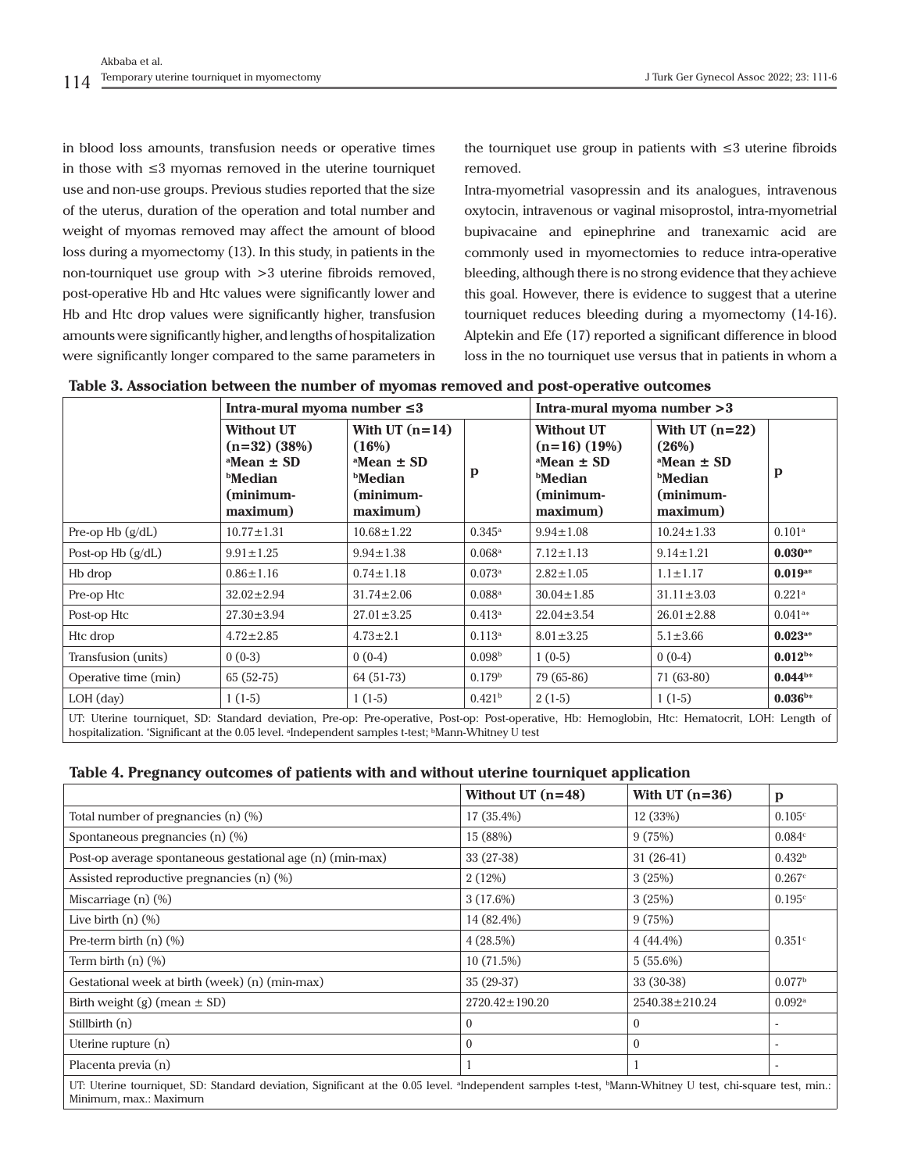in blood loss amounts, transfusion needs or operative times in those with ≤3 myomas removed in the uterine tourniquet use and non-use groups. Previous studies reported that the size of the uterus, duration of the operation and total number and weight of myomas removed may affect the amount of blood loss during a myomectomy (13). In this study, in patients in the non-tourniquet use group with >3 uterine fibroids removed, post-operative Hb and Htc values were significantly lower and Hb and Htc drop values were significantly higher, transfusion amounts were significantly higher, and lengths of hospitalization were significantly longer compared to the same parameters in

the tourniquet use group in patients with ≤3 uterine fibroids removed.

Intra-myometrial vasopressin and its analogues, intravenous oxytocin, intravenous or vaginal misoprostol, intra-myometrial bupivacaine and epinephrine and tranexamic acid are commonly used in myomectomies to reduce intra-operative bleeding, although there is no strong evidence that they achieve this goal. However, there is evidence to suggest that a uterine tourniquet reduces bleeding during a myomectomy (14-16). Alptekin and Efe (17) reported a significant difference in blood loss in the no tourniquet use versus that in patients in whom a

| Table 3. Association between the number of myomas removed and post-operative outcomes |  |  |
|---------------------------------------------------------------------------------------|--|--|
|                                                                                       |  |  |

|                                                                                                                                                                                                                                                       | Intra-mural myoma number $\leq 3$                                                                          |                                                                                            |                      | Intra-mural myoma number > 3                                                                         |                                                                                           |                       |
|-------------------------------------------------------------------------------------------------------------------------------------------------------------------------------------------------------------------------------------------------------|------------------------------------------------------------------------------------------------------------|--------------------------------------------------------------------------------------------|----------------------|------------------------------------------------------------------------------------------------------|-------------------------------------------------------------------------------------------|-----------------------|
|                                                                                                                                                                                                                                                       | <b>Without UT</b><br>$(n=32)$ (38%)<br>$^{\circ}$ Mean $\pm$ SD<br><b>bMedian</b><br>(minimum-<br>maximum) | With UT $(n=14)$<br>(16%)<br>$^a$ Mean $\pm$ SD<br><b>bMedian</b><br>(minimum-<br>maximum) | p                    | <b>Without UT</b><br>$(n=16)$ (19%)<br>$^a$ Mean $\pm$ SD<br><b>bMedian</b><br>(minimum-<br>maximum) | With UT $(n=22)$<br>(26%)<br>$^a$ Mean $\pm$ SD<br><b>Median</b><br>(minimum-<br>maximum) | p                     |
| Pre-op Hb $(g/dL)$                                                                                                                                                                                                                                    | $10.77 \pm 1.31$                                                                                           | $10.68 \pm 1.22$                                                                           | $0.345^{\rm a}$      | $9.94 \pm 1.08$                                                                                      | $10.24 \pm 1.33$                                                                          | $0.101$ <sup>a</sup>  |
| Post-op $Hb$ ( $g/dL$ )                                                                                                                                                                                                                               | $9.91 \pm 1.25$                                                                                            | $9.94 \pm 1.38$                                                                            | $0.068$ <sup>a</sup> | $7.12 \pm 1.13$                                                                                      | $9.14 \pm 1.21$                                                                           | $0.030$ <sup>a*</sup> |
| H <sub>b</sub> drop                                                                                                                                                                                                                                   | $0.86 \pm 1.16$                                                                                            | $0.74 \pm 1.18$                                                                            | 0.073a               | $2.82 \pm 1.05$                                                                                      | $1.1 \pm 1.17$                                                                            | $0.019$ <sup>a*</sup> |
| Pre-op Htc                                                                                                                                                                                                                                            | $32.02 \pm 2.94$                                                                                           | $31.74 \pm 2.06$                                                                           | $0.088$ <sup>a</sup> | $30.04 \pm 1.85$                                                                                     | $31.11 \pm 3.03$                                                                          | $0.221$ <sup>a</sup>  |
| Post-op Htc                                                                                                                                                                                                                                           | $27.30 \pm 3.94$                                                                                           | $27.01 \pm 3.25$                                                                           | $0.413^{\rm a}$      | $22.04 \pm 3.54$                                                                                     | $26.01 \pm 2.88$                                                                          | $0.041$ <sup>a*</sup> |
| Htc drop                                                                                                                                                                                                                                              | $4.72 \pm 2.85$                                                                                            | $4.73 \pm 2.1$                                                                             | $0.113^{\rm a}$      | $8.01 \pm 3.25$                                                                                      | $5.1 \pm 3.66$                                                                            | $0.023^{**}$          |
| Transfusion (units)                                                                                                                                                                                                                                   | $0(0-3)$                                                                                                   | $0(0-4)$                                                                                   | 0.098 <sup>b</sup>   | $1(0-5)$                                                                                             | $0(0-4)$                                                                                  | $0.012^{b*}$          |
| Operative time (min)                                                                                                                                                                                                                                  | $65(52-75)$                                                                                                | 64 (51-73)                                                                                 | 0.179 <sup>b</sup>   | 79 (65-86)                                                                                           | $71(63-80)$                                                                               | $0.044^{b*}$          |
| $LOH$ (day)                                                                                                                                                                                                                                           | $1(1-5)$                                                                                                   | $1(1-5)$                                                                                   | 0.421 <sup>b</sup>   | $2(1-5)$                                                                                             | $1(1-5)$                                                                                  | $0.036^{\rm b*}$      |
| UT: Uterine tourniquet, SD: Standard deviation, Pre-op: Pre-operative, Post-op: Post-operative, Hb: Hemoglobin, Htc: Hematocrit, LOH: Length of<br>hospitalization. "Significant at the 0.05 level. "Independent samples t-test; "Mann-Whitney U test |                                                                                                            |                                                                                            |                      |                                                                                                      |                                                                                           |                       |

**Table 4. Pregnancy outcomes of patients with and without uterine tourniquet application**

|                                                                                                                                                                                                            | Without UT $(n=48)$  | With UT $(n=36)$     | $\mathbf{p}$         |  |  |
|------------------------------------------------------------------------------------------------------------------------------------------------------------------------------------------------------------|----------------------|----------------------|----------------------|--|--|
| Total number of pregnancies $(n)$ $(\%)$                                                                                                                                                                   | 17 (35.4%)           | 12(33%)              | 0.105c               |  |  |
| Spontaneous pregnancies $(n)$ $(\%)$                                                                                                                                                                       | 15 (88%)             | 9(75%)               | 0.084c               |  |  |
| Post-op average spontaneous gestational age (n) (min-max)                                                                                                                                                  | 33 (27-38)           | $31(26-41)$          | 0.432 <sup>b</sup>   |  |  |
| Assisted reproductive pregnancies (n) (%)                                                                                                                                                                  | 2(12%)               | 3(25%)               | 0.267c               |  |  |
| Miscarriage $(n)$ $(\%)$                                                                                                                                                                                   | 3(17.6%)             | 3(25%)               | 0.195c               |  |  |
| Live birth $(n)$ $(\%)$                                                                                                                                                                                    | 14 (82.4%)           | 9(75%)               |                      |  |  |
| Pre-term birth $(n)$ $(\%)$                                                                                                                                                                                | 4(28.5%)             | $4(44.4\%)$          | 0.351c               |  |  |
| Term birth $(n)$ $(\%)$                                                                                                                                                                                    | 10(71.5%)            | $5(55.6\%)$          |                      |  |  |
| Gestational week at birth (week) (n) (min-max)                                                                                                                                                             | $35(29-37)$          | $33(30-38)$          | 0.077 <sup>b</sup>   |  |  |
| Birth weight (g) (mean $\pm$ SD)                                                                                                                                                                           | $2720.42 \pm 190.20$ | $2540.38 \pm 210.24$ | $0.092$ <sup>a</sup> |  |  |
| Stillbirth (n)                                                                                                                                                                                             | $\bf{0}$             | $\mathbf{0}$         |                      |  |  |
| Uterine rupture (n)                                                                                                                                                                                        | $\Omega$             | $\theta$             |                      |  |  |
| Placenta previa (n)                                                                                                                                                                                        |                      |                      |                      |  |  |
| UT: Uterine tourniquet, SD: Standard deviation, Significant at the 0.05 level. <sup>a</sup> Independent samples t-test, <sup>b</sup> Mann-Whitney U test, chi-square test, min.:<br>Minimum, max.: Maximum |                      |                      |                      |  |  |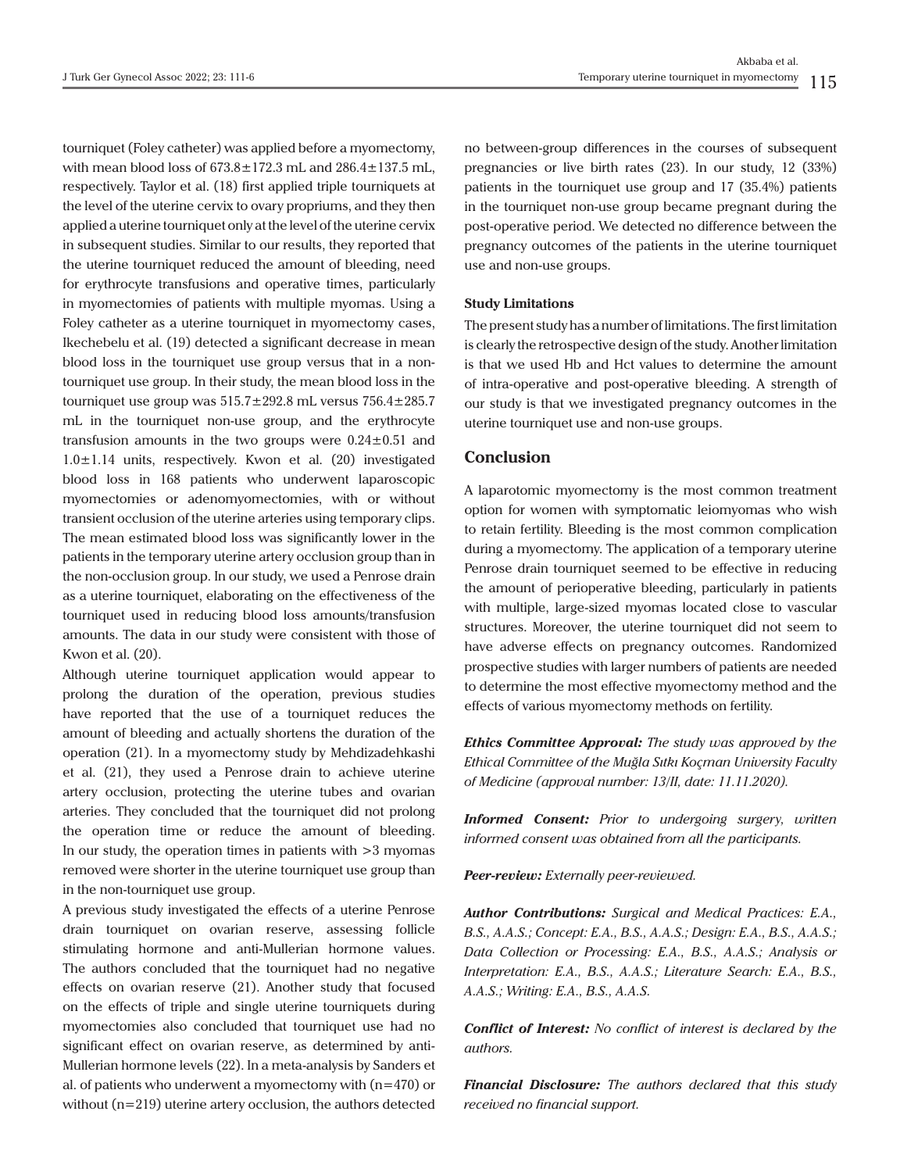tourniquet (Foley catheter) was applied before a myomectomy, with mean blood loss of  $673.8 \pm 172.3$  mL and  $286.4 \pm 137.5$  mL, respectively. Taylor et al. (18) first applied triple tourniquets at the level of the uterine cervix to ovary propriums, and they then applied a uterine tourniquet only at the level of the uterine cervix in subsequent studies. Similar to our results, they reported that the uterine tourniquet reduced the amount of bleeding, need for erythrocyte transfusions and operative times, particularly in myomectomies of patients with multiple myomas. Using a Foley catheter as a uterine tourniquet in myomectomy cases, Ikechebelu et al. (19) detected a significant decrease in mean blood loss in the tourniquet use group versus that in a nontourniquet use group. In their study, the mean blood loss in the tourniquet use group was  $515.7 \pm 292.8$  mL versus  $756.4 \pm 285.7$ mL in the tourniquet non-use group, and the erythrocyte transfusion amounts in the two groups were  $0.24 \pm 0.51$  and  $1.0 \pm 1.14$  units, respectively. Kwon et al. (20) investigated blood loss in 168 patients who underwent laparoscopic myomectomies or adenomyomectomies, with or without transient occlusion of the uterine arteries using temporary clips. The mean estimated blood loss was significantly lower in the patients in the temporary uterine artery occlusion group than in the non-occlusion group. In our study, we used a Penrose drain as a uterine tourniquet, elaborating on the effectiveness of the tourniquet used in reducing blood loss amounts/transfusion amounts. The data in our study were consistent with those of Kwon et al. (20).

Although uterine tourniquet application would appear to prolong the duration of the operation, previous studies have reported that the use of a tourniquet reduces the amount of bleeding and actually shortens the duration of the operation (21). In a myomectomy study by Mehdizadehkashi et al. (21), they used a Penrose drain to achieve uterine artery occlusion, protecting the uterine tubes and ovarian arteries. They concluded that the tourniquet did not prolong the operation time or reduce the amount of bleeding. In our study, the operation times in patients with >3 myomas removed were shorter in the uterine tourniquet use group than in the non-tourniquet use group.

A previous study investigated the effects of a uterine Penrose drain tourniquet on ovarian reserve, assessing follicle stimulating hormone and anti-Mullerian hormone values. The authors concluded that the tourniquet had no negative effects on ovarian reserve (21). Another study that focused on the effects of triple and single uterine tourniquets during myomectomies also concluded that tourniquet use had no significant effect on ovarian reserve, as determined by anti-Mullerian hormone levels (22). In a meta-analysis by Sanders et al. of patients who underwent a myomectomy with (n=470) or without (n=219) uterine artery occlusion, the authors detected

no between-group differences in the courses of subsequent pregnancies or live birth rates (23). In our study, 12 (33%) patients in the tourniquet use group and 17 (35.4%) patients in the tourniquet non-use group became pregnant during the post-operative period. We detected no difference between the pregnancy outcomes of the patients in the uterine tourniquet use and non-use groups.

#### **Study Limitations**

The present study has a number of limitations. The first limitation is clearly the retrospective design of the study. Another limitation is that we used Hb and Hct values to determine the amount of intra-operative and post-operative bleeding. A strength of our study is that we investigated pregnancy outcomes in the uterine tourniquet use and non-use groups.

## **Conclusion**

A laparotomic myomectomy is the most common treatment option for women with symptomatic leiomyomas who wish to retain fertility. Bleeding is the most common complication during a myomectomy. The application of a temporary uterine Penrose drain tourniquet seemed to be effective in reducing the amount of perioperative bleeding, particularly in patients with multiple, large-sized myomas located close to vascular structures. Moreover, the uterine tourniquet did not seem to have adverse effects on pregnancy outcomes. Randomized prospective studies with larger numbers of patients are needed to determine the most effective myomectomy method and the effects of various myomectomy methods on fertility.

*Ethics Committee Approval: The study was approved by the Ethical Committee of the Muğla Sıtkı Koçman University Faculty of Medicine (approval number: 13/II, date: 11.11.2020).*

*Informed Consent: Prior to undergoing surgery, written informed consent was obtained from all the participants.*

*Peer-review: Externally peer-reviewed.*

*Author Contributions: Surgical and Medical Practices: E.A., B.S., A.A.S.; Concept: E.A., B.S., A.A.S.; Design: E.A., B.S., A.A.S.; Data Collection or Processing: E.A., B.S., A.A.S.; Analysis or Interpretation: E.A., B.S., A.A.S.; Literature Search: E.A., B.S., A.A.S.; Writing: E.A., B.S., A.A.S.*

*Conflict of Interest: No conflict of interest is declared by the authors.*

*Financial Disclosure: The authors declared that this study received no financial support.*